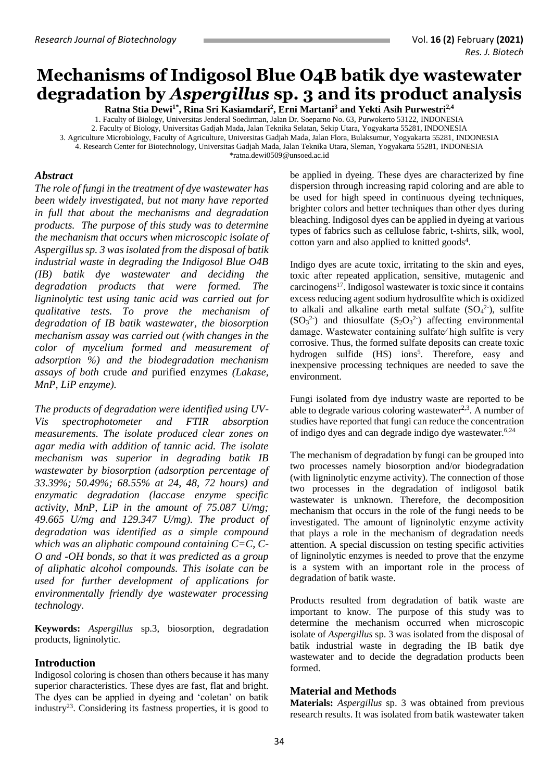# **Mechanisms of Indigosol Blue O4B batik dye wastewater degradation by** *Aspergillus* **sp. 3 and its product analysis**

**Ratna Stia Dewi1\* , Rina Sri Kasiamdari<sup>2</sup> , Erni Martani<sup>3</sup> and Yekti Asih Purwestri2,4** 1. Faculty of Biology, Universitas Jenderal Soedirman, Jalan Dr. Soeparno No. 63, Purwokerto 53122, INDONESIA 2. Faculty of Biology, Universitas Gadjah Mada, Jalan Teknika Selatan, Sekip Utara, Yogyakarta 55281, INDONESIA 3. Agriculture Microbiology, Faculty of Agriculture, Universitas Gadjah Mada, Jalan Flora, Bulaksumur, Yogyakarta 55281, INDONESIA 4. Research Center for Biotechnology, Universitas Gadjah Mada, Jalan Teknika Utara, Sleman, Yogyakarta 55281, INDONESIA [\\*ratna.dewi0509@unsoed.ac.id](mailto:ratna.dewi0509@unsoed.ac.id)

## *Abstract*

*The role of fungi in the treatment of dye wastewater has been widely investigated, but not many have reported in full that about the mechanisms and degradation products. The purpose of this study was to determine the mechanism that occurs when microscopic isolate of Aspergillus sp. 3 was isolated from the disposal of batik industrial waste in degrading the Indigosol Blue O4B (IB) batik dye wastewater and deciding the degradation products that were formed. The ligninolytic test using tanic acid was carried out for qualitative tests. To prove the mechanism of degradation of IB batik wastewater, the biosorption mechanism assay was carried out (with changes in the color of mycelium formed and measurement of adsorption %) and the biodegradation mechanism assays of both* crude *and* purified enzymes *(Lakase, MnP, LiP enzyme).*

*The products of degradation were identified using UV-Vis spectrophotometer and FTIR absorption measurements. The isolate produced clear zones on agar media with addition of tannic acid. The isolate mechanism was superior in degrading batik IB wastewater by biosorption (adsorption percentage of 33.39%; 50.49%; 68.55% at 24, 48, 72 hours) and enzymatic degradation (laccase enzyme specific activity, MnP, LiP in the amount of 75.087 U/mg; 49.665 U/mg and 129.347 U/mg). The product of degradation was identified as a simple compound which was an aliphatic compound containing C=C, C-O and -OH bonds, so that it was predicted as a group of aliphatic alcohol compounds. This isolate can be used for further development of applications for environmentally friendly dye wastewater processing technology.*

**Keywords:** *Aspergillus* sp.3, biosorption, degradation products, ligninolytic.

#### **Introduction**

Indigosol coloring is chosen than others because it has many superior characteristics. These dyes are fast, flat and bright. The dyes can be applied in dyeing and 'coletan' on batik industry<sup>23</sup>. Considering its fastness properties, it is good to

be applied in dyeing. These dyes are characterized by fine dispersion through increasing rapid coloring and are able to be used for high speed in continuous dyeing techniques, brighter colors and better techniques than other dyes during bleaching. Indigosol dyes can be applied in dyeing at various types of fabrics such as cellulose fabric, t-shirts, silk, wool, cotton yarn and also applied to knitted goods<sup>4</sup>.

Indigo dyes are acute toxic, irritating to the skin and eyes, toxic after repeated application, sensitive, mutagenic and carcinogens<sup>17</sup>. Indigosol wastewater is toxic since it contains excess reducing agent sodium hydrosulfite which is oxidized to alkali and alkaline earth metal sulfate  $(SO<sub>4</sub><sup>2</sup>)$ , sulfite  $(SO<sub>3</sub><sup>2</sup>)$  and thiosulfate  $(S<sub>2</sub>O<sub>3</sub><sup>2</sup>)$  affecting environmental damage. Wastewater containing sulfate⁄ high sulfite is very corrosive. Thus, the formed sulfate deposits can create toxic hydrogen sulfide (HS) ions<sup>5</sup>. Therefore, easy and inexpensive processing techniques are needed to save the environment.

Fungi isolated from dye industry waste are reported to be able to degrade various coloring wastewater $2,3$ . A number of studies have reported that fungi can reduce the concentration of indigo dyes and can degrade indigo dye wastewater. 6,24

The mechanism of degradation by fungi can be grouped into two processes namely biosorption and/or biodegradation (with ligninolytic enzyme activity). The connection of those two processes in the degradation of indigosol batik wastewater is unknown. Therefore, the decomposition mechanism that occurs in the role of the fungi needs to be investigated. The amount of ligninolytic enzyme activity that plays a role in the mechanism of degradation needs attention. A special discussion on testing specific activities of ligninolytic enzymes is needed to prove that the enzyme is a system with an important role in the process of degradation of batik waste.

Products resulted from degradation of batik waste are important to know. The purpose of this study was to determine the mechanism occurred when microscopic isolate of *Aspergillus* sp. 3 was isolated from the disposal of batik industrial waste in degrading the IB batik dye wastewater and to decide the degradation products been formed.

#### **Material and Methods**

**Materials:** *Aspergillus* sp. 3 was obtained from previous research results. It was isolated from batik wastewater taken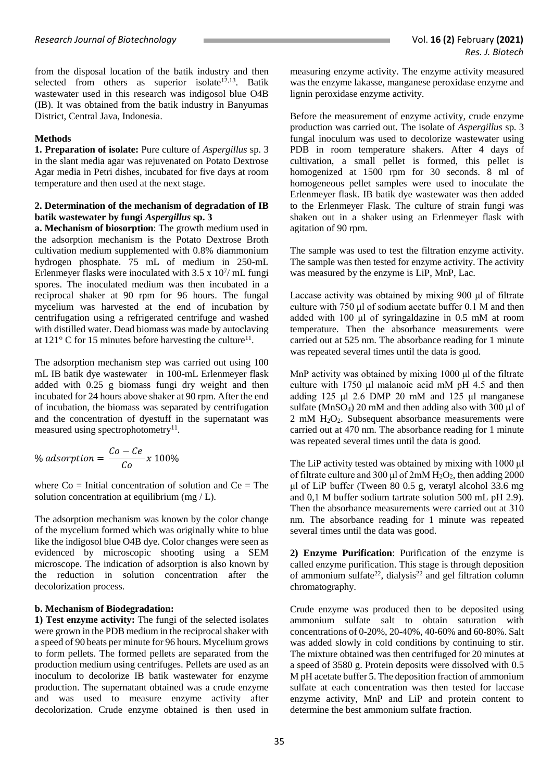from the disposal location of the batik industry and then selected from others as superior isolate<sup>12,13</sup>. Batik wastewater used in this research was indigosol blue O4B (IB). It was obtained from the batik industry in Banyumas District, Central Java, Indonesia.

#### **Methods**

**1. Preparation of isolate:** Pure culture of *Aspergillus* sp. 3 in the slant media agar was rejuvenated on Potato Dextrose Agar media in Petri dishes, incubated for five days at room temperature and then used at the next stage.

#### **2. Determination of the mechanism of degradation of IB batik wastewater by fungi** *Aspergillus* **sp. 3**

**a. Mechanism of biosorption**: The growth medium used in the adsorption mechanism is the Potato Dextrose Broth cultivation medium supplemented with 0.8% diammonium hydrogen phosphate. 75 mL of medium in 250-mL Erlenmeyer flasks were inoculated with  $3.5 \times 10^{7}$ / mL fungi spores. The inoculated medium was then incubated in a reciprocal shaker at 90 rpm for 96 hours. The fungal mycelium was harvested at the end of incubation by centrifugation using a refrigerated centrifuge and washed with distilled water. Dead biomass was made by autoclaving at  $121^{\circ}$  C for 15 minutes before harvesting the culture<sup>11</sup>.

The adsorption mechanism step was carried out using 100 mL IB batik dye wastewater in 100-mL Erlenmeyer flask added with 0.25 g biomass fungi dry weight and then incubated for 24 hours above shaker at 90 rpm. After the end of incubation, the biomass was separated by centrifugation and the concentration of dyestuff in the supernatant was measured using spectrophotometry<sup>11</sup>.

% adsorption = 
$$
\frac{Co - Ce}{Co} \times 100\%
$$

where  $Co =$  Initial concentration of solution and  $Ce = The$ solution concentration at equilibrium (mg / L).

The adsorption mechanism was known by the color change of the mycelium formed which was originally white to blue like the indigosol blue O4B dye. Color changes were seen as evidenced by microscopic shooting using a SEM microscope. The indication of adsorption is also known by the reduction in solution concentration after the decolorization process.

#### **b. Mechanism of Biodegradation:**

**1) Test enzyme activity:** The fungi of the selected isolates were grown in the PDB medium in the reciprocal shaker with a speed of 90 beats per minute for 96 hours. Mycelium grows to form pellets. The formed pellets are separated from the production medium using centrifuges. Pellets are used as an inoculum to decolorize IB batik wastewater for enzyme production. The supernatant obtained was a crude enzyme and was used to measure enzyme activity after decolorization. Crude enzyme obtained is then used in measuring enzyme activity. The enzyme activity measured was the enzyme lakasse, manganese peroxidase enzyme and lignin peroxidase enzyme activity.

Before the measurement of enzyme activity, crude enzyme production was carried out. The isolate of *Aspergillus* sp. 3 fungal inoculum was used to decolorize wastewater using PDB in room temperature shakers. After 4 days of cultivation, a small pellet is formed, this pellet is homogenized at 1500 rpm for 30 seconds. 8 ml of homogeneous pellet samples were used to inoculate the Erlenmeyer flask. IB batik dye wastewater was then added to the Erlenmeyer Flask. The culture of strain fungi was shaken out in a shaker using an Erlenmeyer flask with agitation of 90 rpm.

The sample was used to test the filtration enzyme activity. The sample was then tested for enzyme activity. The activity was measured by the enzyme is LiP, MnP, Lac.

Laccase activity was obtained by mixing 900 μl of filtrate culture with 750 μl of sodium acetate buffer 0.1 M and then added with 100 μl of syringaldazine in 0.5 mM at room temperature. Then the absorbance measurements were carried out at 525 nm. The absorbance reading for 1 minute was repeated several times until the data is good.

MnP activity was obtained by mixing 1000 μl of the filtrate culture with 1750 μl malanoic acid mM pH 4.5 and then adding 125 μl 2.6 DMP 20 mM and 125 μl manganese sulfate (MnSO4) 20 mM and then adding also with 300 μl of  $2 \text{ mM } H_2O_2$ . Subsequent absorbance measurements were carried out at 470 nm. The absorbance reading for 1 minute was repeated several times until the data is good.

The LiP activity tested was obtained by mixing with 1000 μl of filtrate culture and 300 μl of  $2mM H_2O_2$ , then adding 2000 μl of LiP buffer (Tween 80 0.5 g, veratyl alcohol 33.6 mg and 0,1 M buffer sodium tartrate solution 500 mL pH 2.9). Then the absorbance measurements were carried out at 310 nm. The absorbance reading for 1 minute was repeated several times until the data was good.

**2) Enzyme Purification**: Purification of the enzyme is called enzyme purification. This stage is through deposition of ammonium sulfate<sup>22</sup>, dialysis<sup>22</sup> and gel filtration column chromatography.

Crude enzyme was produced then to be deposited using ammonium sulfate salt to obtain saturation with concentrations of 0-20%, 20-40%, 40-60% and 60-80%. Salt was added slowly in cold conditions by continuing to stir. The mixture obtained was then centrifuged for 20 minutes at a speed of 3580 g. Protein deposits were dissolved with 0.5 M pH acetate buffer 5. The deposition fraction of ammonium sulfate at each concentration was then tested for laccase enzyme activity, MnP and LiP and protein content to determine the best ammonium sulfate fraction.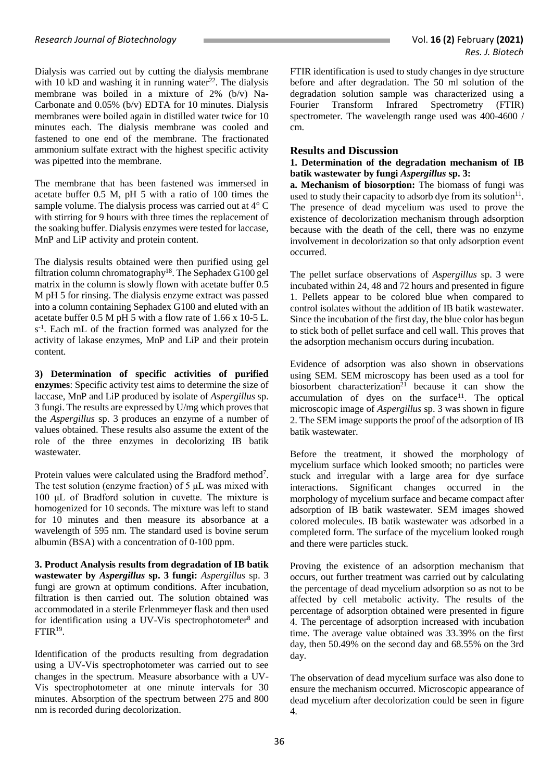Dialysis was carried out by cutting the dialysis membrane with 10 kD and washing it in running water<sup>22</sup>. The dialysis membrane was boiled in a mixture of 2% (b/v) Na-Carbonate and 0.05% (b/v) EDTA for 10 minutes. Dialysis membranes were boiled again in distilled water twice for 10 minutes each. The dialysis membrane was cooled and fastened to one end of the membrane. The fractionated ammonium sulfate extract with the highest specific activity was pipetted into the membrane.

The membrane that has been fastened was immersed in acetate buffer 0.5 M, pH 5 with a ratio of 100 times the sample volume. The dialysis process was carried out at 4° C with stirring for 9 hours with three times the replacement of the soaking buffer. Dialysis enzymes were tested for laccase, MnP and LiP activity and protein content.

The dialysis results obtained were then purified using gel filtration column chromatography<sup>18</sup>. The Sephadex G100 gel matrix in the column is slowly flown with acetate buffer 0.5 M pH 5 for rinsing. The dialysis enzyme extract was passed into a column containing Sephadex G100 and eluted with an acetate buffer 0.5 M pH 5 with a flow rate of 1.66 x 10-5 L. s -1 . Each mL of the fraction formed was analyzed for the activity of lakase enzymes, MnP and LiP and their protein content.

**3) Determination of specific activities of purified enzymes**: Specific activity test aims to determine the size of laccase, MnP and LiP produced by isolate of *Aspergillus* sp. 3 fungi. The results are expressed by U/mg which proves that the *Aspergillus* sp. 3 produces an enzyme of a number of values obtained. These results also assume the extent of the role of the three enzymes in decolorizing IB batik wastewater.

Protein values were calculated using the Bradford method<sup>7</sup>. The test solution (enzyme fraction) of 5 μL was mixed with 100 μL of Bradford solution in cuvette. The mixture is homogenized for 10 seconds. The mixture was left to stand for 10 minutes and then measure its absorbance at a wavelength of 595 nm. The standard used is bovine serum albumin (BSA) with a concentration of 0-100 ppm.

**3. Product Analysis results from degradation of IB batik wastewater by** *Aspergillus* **sp. 3 fungi:** *Aspergillus* sp. 3 fungi are grown at optimum conditions. After incubation, filtration is then carried out. The solution obtained was accommodated in a sterile Erlenmmeyer flask and then used for identification using a UV-Vis spectrophotometer $8$  and  $FTIR^{19}$ .

Identification of the products resulting from degradation using a UV-Vis spectrophotometer was carried out to see changes in the spectrum. Measure absorbance with a UV-Vis spectrophotometer at one minute intervals for 30 minutes. Absorption of the spectrum between 275 and 800 nm is recorded during decolorization.

FTIR identification is used to study changes in dye structure before and after degradation. The 50 ml solution of the degradation solution sample was characterized using a Fourier Transform Infrared Spectrometry (FTIR) spectrometer. The wavelength range used was 400-4600 / cm.

## **Results and Discussion**

**1. Determination of the degradation mechanism of IB batik wastewater by fungi** *Aspergillus* **sp. 3:** 

**a. Mechanism of biosorption:** The biomass of fungi was used to study their capacity to adsorb dye from its solution $11$ . The presence of dead mycelium was used to prove the existence of decolorization mechanism through adsorption because with the death of the cell, there was no enzyme involvement in decolorization so that only adsorption event occurred.

The pellet surface observations of *Aspergillus* sp. 3 were incubated within 24, 48 and 72 hours and presented in figure 1. Pellets appear to be colored blue when compared to control isolates without the addition of IB batik wastewater. Since the incubation of the first day, the blue color has begun to stick both of pellet surface and cell wall. This proves that the adsorption mechanism occurs during incubation.

Evidence of adsorption was also shown in observations using SEM. SEM microscopy has been used as a tool for biosorbent characterization <sup>21</sup> because it can show the  $accumulation$  of dyes on the surface<sup>11</sup>. The optical microscopic image of *Aspergillus* sp. 3 was shown in figure 2. The SEM image supports the proof of the adsorption of IB batik wastewater.

Before the treatment, it showed the morphology of mycelium surface which looked smooth; no particles were stuck and irregular with a large area for dye surface interactions. Significant changes occurred in the morphology of mycelium surface and became compact after adsorption of IB batik wastewater. SEM images showed colored molecules. IB batik wastewater was adsorbed in a completed form. The surface of the mycelium looked rough and there were particles stuck.

Proving the existence of an adsorption mechanism that occurs, out further treatment was carried out by calculating the percentage of dead mycelium adsorption so as not to be affected by cell metabolic activity. The results of the percentage of adsorption obtained were presented in figure 4. The percentage of adsorption increased with incubation time. The average value obtained was 33.39% on the first day, then 50.49% on the second day and 68.55% on the 3rd day.

The observation of dead mycelium surface was also done to ensure the mechanism occurred. Microscopic appearance of dead mycelium after decolorization could be seen in figure 4.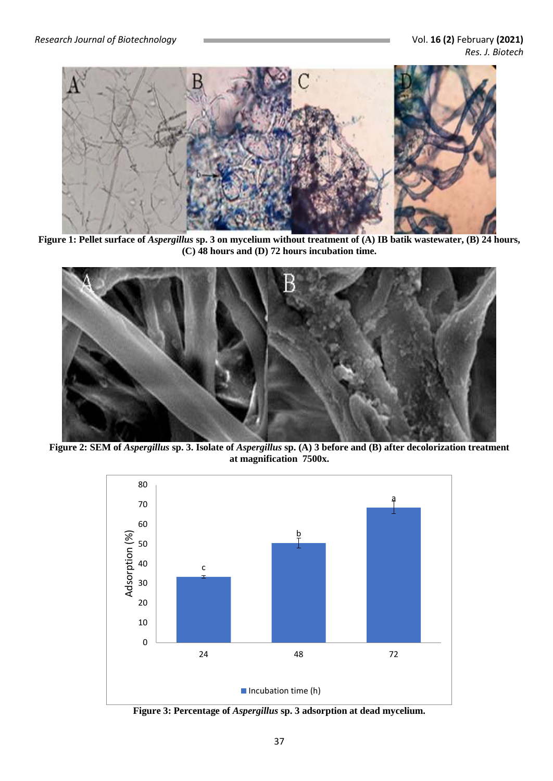

**Figure 1: Pellet surface of** *Aspergillus* **sp. 3 on mycelium without treatment of (A) IB batik wastewater, (B) 24 hours, (C) 48 hours and (D) 72 hours incubation time.**



**Figure 2: SEM of** *Aspergillus* **sp. 3. Isolate of** *Aspergillus* **sp. (A) 3 before and (B) after decolorization treatment at magnification 7500x.**



**Figure 3: Percentage of** *Aspergillus* **sp. 3 adsorption at dead mycelium.**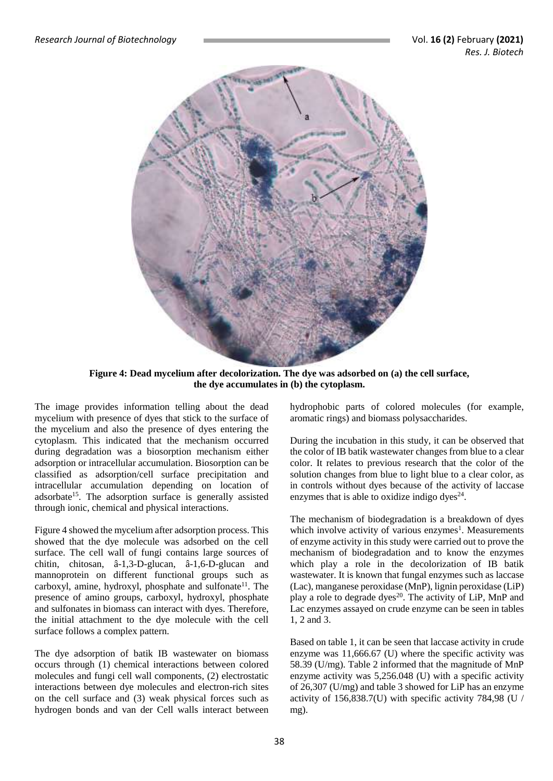

**Figure 4: Dead mycelium after decolorization. The dye was adsorbed on (a) the cell surface, the dye accumulates in (b) the cytoplasm.**

The image provides information telling about the dead mycelium with presence of dyes that stick to the surface of the mycelium and also the presence of dyes entering the cytoplasm. This indicated that the mechanism occurred during degradation was a biosorption mechanism either adsorption or intracellular accumulation. Biosorption can be classified as adsorption/cell surface precipitation and intracellular accumulation depending on location of adsorbate<sup>15</sup>. The adsorption surface is generally assisted through ionic, chemical and physical interactions.

Figure 4 showed the mycelium after adsorption process. This showed that the dye molecule was adsorbed on the cell surface. The cell wall of fungi contains large sources of chitin, chitosan, â-1,3-D-glucan, â-1,6-D-glucan and mannoprotein on different functional groups such as carboxyl, amine, hydroxyl, phosphate and sulfonate<sup>11</sup>. The presence of amino groups, carboxyl, hydroxyl, phosphate and sulfonates in biomass can interact with dyes. Therefore, the initial attachment to the dye molecule with the cell surface follows a complex pattern.

The dye adsorption of batik IB wastewater on biomass occurs through (1) chemical interactions between colored molecules and fungi cell wall components, (2) electrostatic interactions between dye molecules and electron-rich sites on the cell surface and (3) weak physical forces such as hydrogen bonds and van der Cell walls interact between

hydrophobic parts of colored molecules (for example, aromatic rings) and biomass polysaccharides.

During the incubation in this study, it can be observed that the color of IB batik wastewater changes from blue to a clear color. It relates to previous research that the color of the solution changes from blue to light blue to a clear color, as in controls without dyes because of the activity of laccase enzymes that is able to oxidize indigo dyes $24$ .

The mechanism of biodegradation is a breakdown of dyes which involve activity of various enzymes<sup>1</sup>. Measurements of enzyme activity in this study were carried out to prove the mechanism of biodegradation and to know the enzymes which play a role in the decolorization of IB batik wastewater. It is known that fungal enzymes such as laccase (Lac), manganese peroxidase (MnP), lignin peroxidase (LiP) play a role to degrade dyes<sup>20</sup>. The activity of LiP, MnP and Lac enzymes assayed on crude enzyme can be seen in tables 1, 2 and 3.

Based on table 1, it can be seen that laccase activity in crude enzyme was 11,666.67 (U) where the specific activity was 58.39 (U/mg). Table 2 informed that the magnitude of MnP enzyme activity was 5,256.048 (U) with a specific activity of 26,307 (U/mg) and table 3 showed for LiP has an enzyme activity of 156,838.7(U) with specific activity 784,98 (U / mg).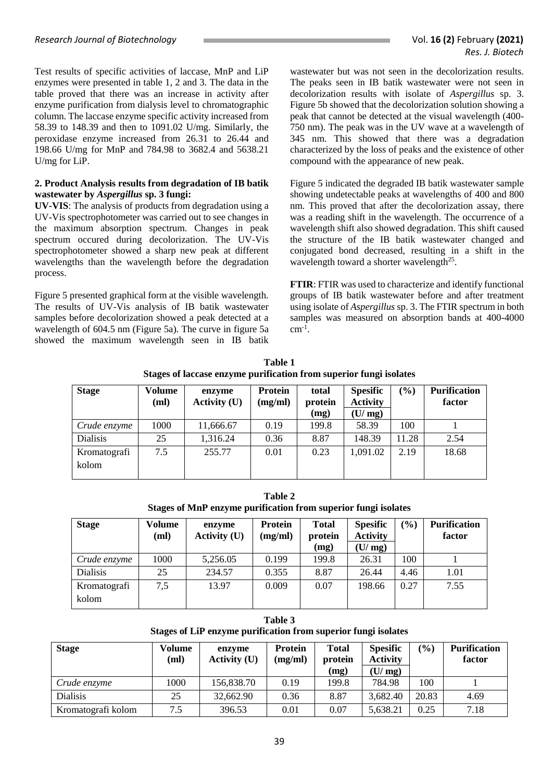Test results of specific activities of laccase, MnP and LiP enzymes were presented in table 1, 2 and 3. The data in the table proved that there was an increase in activity after enzyme purification from dialysis level to chromatographic column. The laccase enzyme specific activity increased from 58.39 to 148.39 and then to 1091.02 U/mg. Similarly, the peroxidase enzyme increased from 26.31 to 26.44 and 198.66 U/mg for MnP and 784.98 to 3682.4 and 5638.21 U/mg for LiP.

### **2. Product Analysis results from degradation of IB batik wastewater by** *Aspergillus* **sp. 3 fungi:**

**UV-VIS**: The analysis of products from degradation using a UV-Vis spectrophotometer was carried out to see changes in the maximum absorption spectrum. Changes in peak spectrum occured during decolorization. The UV-Vis spectrophotometer showed a sharp new peak at different wavelengths than the wavelength before the degradation process.

Figure 5 presented graphical form at the visible wavelength. The results of UV-Vis analysis of IB batik wastewater samples before decolorization showed a peak detected at a wavelength of 604.5 nm (Figure 5a). The curve in figure 5a showed the maximum wavelength seen in IB batik

wastewater but was not seen in the decolorization results. The peaks seen in IB batik wastewater were not seen in decolorization results with isolate of *Aspergillus* sp. 3. Figure 5b showed that the decolorization solution showing a peak that cannot be detected at the visual wavelength (400- 750 nm). The peak was in the UV wave at a wavelength of 345 nm. This showed that there was a degradation characterized by the loss of peaks and the existence of other compound with the appearance of new peak.

Figure 5 indicated the degraded IB batik wastewater sample showing undetectable peaks at wavelengths of 400 and 800 nm. This proved that after the decolorization assay, there was a reading shift in the wavelength. The occurrence of a wavelength shift also showed degradation. This shift caused the structure of the IB batik wastewater changed and conjugated bond decreased, resulting in a shift in the wavelength toward a shorter wavelength<sup>25</sup>.

**FTIR**: FTIR was used to characterize and identify functional groups of IB batik wastewater before and after treatment using isolate of *Aspergillus* sp. 3. The FTIR spectrum in both samples was measured on absorption bands at 400-4000  $cm^{-1}$ .

| Table 1                                                            |
|--------------------------------------------------------------------|
| Stages of laccase enzyme purification from superior fungi isolates |

| <b>Stage</b>    | <b>Volume</b><br>(ml) | enzyme<br><b>Activity (U)</b> | Protein<br>(mg/ml) | total<br>protein<br>(mg) | <b>Spesific</b><br><b>Activity</b><br>(U/mg) | (%)   | <b>Purification</b><br>factor |
|-----------------|-----------------------|-------------------------------|--------------------|--------------------------|----------------------------------------------|-------|-------------------------------|
| Crude enzyme    | 1000                  | 11,666.67                     | 0.19               | 199.8                    | 58.39                                        | 100   |                               |
|                 |                       |                               |                    |                          |                                              |       |                               |
| <b>Dialisis</b> | 25                    | 1,316.24                      | 0.36               | 8.87                     | 148.39                                       | 11.28 | 2.54                          |
| Kromatografi    | 7.5                   | 255.77                        | 0.01               | 0.23                     | 1,091.02                                     | 2.19  | 18.68                         |
| kolom           |                       |                               |                    |                          |                                              |       |                               |
|                 |                       |                               |                    |                          |                                              |       |                               |

**Table 2 Stages of MnP enzyme purification from superior fungi isolates**

| <b>Stage</b>    | Volume<br>(ml) | enzyme<br><b>Activity (U)</b> | Protein<br>(mg/ml) | <b>Total</b><br>protein | <b>Spesific</b><br><b>Activity</b> | (0/0) | <b>Purification</b><br>factor |
|-----------------|----------------|-------------------------------|--------------------|-------------------------|------------------------------------|-------|-------------------------------|
|                 |                |                               |                    | (mg)                    | (U/mg)                             |       |                               |
| Crude enzyme    | 1000           | 5,256.05                      | 0.199              | 199.8                   | 26.31                              | 100   |                               |
| <b>Dialisis</b> | 25             | 234.57                        | 0.355              | 8.87                    | 26.44                              | 4.46  | 1.01                          |
| Kromatografi    | 7,5            | 13.97                         | 0.009              | 0.07                    | 198.66                             | 0.27  | 7.55                          |
| kolom           |                |                               |                    |                         |                                    |       |                               |

**Table 3 Stages of LiP enzyme purification from superior fungi isolates**

| <b>Stage</b>       | Volume<br>(ml) | enzyme<br><b>Activity (U)</b> | <b>Protein</b><br>(mg/ml) | <b>Total</b><br>protein<br>(mg) | <b>Spesific</b><br><b>Activity</b><br>(U/mg) | $\frac{6}{6}$ | <b>Purification</b><br>factor |
|--------------------|----------------|-------------------------------|---------------------------|---------------------------------|----------------------------------------------|---------------|-------------------------------|
| Crude enzyme       | 1000           | 156,838.70                    | 0.19                      | 199.8                           | 784.98                                       | 100           |                               |
| <b>Dialisis</b>    | 25             | 32,662.90                     | 0.36                      | 8.87                            | 3,682.40                                     | 20.83         | 4.69                          |
| Kromatografi kolom | 7.5            | 396.53                        | 0.01                      | 0.07                            | 5,638.21                                     | 0.25          | 7.18                          |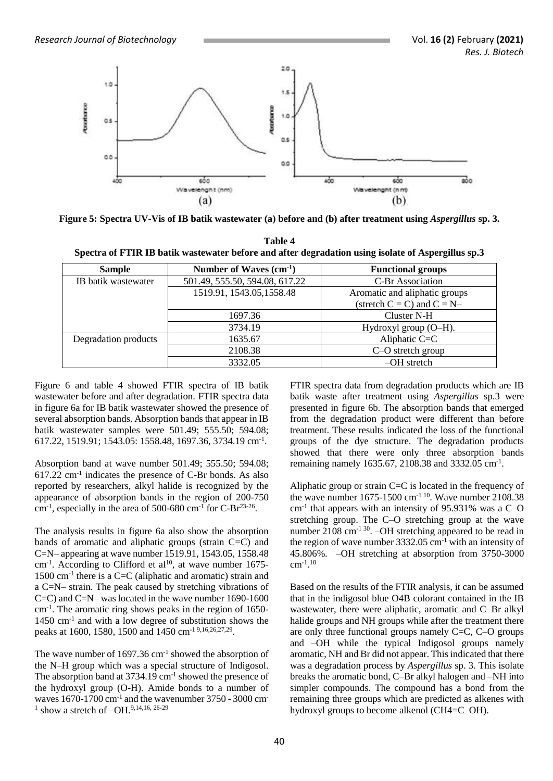

**Figure 5: Spectra UV-Vis of IB batik wastewater (a) before and (b) after treatment using** *Aspergillus* **sp. 3.**

**Table 4 Spectra of FTIR IB batik wastewater before and after degradation using isolate of Aspergillus sp.3**

| <b>Sample</b>        | Number of Waves $(cm-1)$       | <b>Functional groups</b>        |
|----------------------|--------------------------------|---------------------------------|
| IB batik wastewater  | 501.49, 555.50, 594.08, 617.22 | <b>C-Br</b> Association         |
|                      | 1519.91, 1543.05, 1558.48      | Aromatic and aliphatic groups   |
|                      |                                | (stretch $C = C$ ) and $C = N-$ |
|                      | 1697.36                        | Cluster N-H                     |
|                      | 3734.19                        | Hydroxyl group (O–H).           |
| Degradation products | 1635.67                        | Aliphatic $C = C$               |
|                      | 2108.38                        | C-O stretch group               |
|                      | 3332.05                        | $-OH$ stretch                   |

Figure 6 and table 4 showed FTIR spectra of IB batik wastewater before and after degradation. FTIR spectra data in figure 6a for IB batik wastewater showed the presence of several absorption bands. Absorption bands that appear in IB batik wastewater samples were 501.49; 555.50; 594.08; 617.22, 1519.91; 1543.05: 1558.48, 1697.36, 3734.19 cm-1 .

Absorption band at wave number 501.49; 555.50; 594.08; 617.22 cm-1 indicates the presence of C-Br bonds. As also reported by researchers, alkyl halide is recognized by the appearance of absorption bands in the region of 200-750 cm<sup>-1</sup>, especially in the area of 500-680 cm<sup>-1</sup> for C-Br<sup>23-26</sup>.

The analysis results in figure 6a also show the absorption bands of aromatic and aliphatic groups (strain C=C) and C=N– appearing at wave number 1519.91, 1543.05, 1558.48  $cm<sup>-1</sup>$ . According to Clifford et al<sup>10</sup>, at wave number 1675-1500 cm-1 there is a C=C (aliphatic and aromatic) strain and a C=N– strain. The peak caused by stretching vibrations of C=C) and C=N– was located in the wave number 1690-1600 cm-1 . The aromatic ring shows peaks in the region of 1650- 1450 cm-1 and with a low degree of substitution shows the peaks at 1600, 1580, 1500 and 1450 cm<sup>-1 9,16,26,27,29</sup>.

The wave number of  $1697.36$  cm<sup>-1</sup> showed the absorption of the N–H group which was a special structure of Indigosol. The absorption band at 3734.19 cm<sup>-1</sup> showed the presence of the hydroxyl group (O-H). Amide bonds to a number of waves  $1670-1700$  cm<sup>-1</sup> and the wavenumber  $3750$  -  $3000$  cm<sup>-</sup> 1 show a stretch of –OH. 9,14,16, 26-29

FTIR spectra data from degradation products which are IB batik waste after treatment using *Aspergillus* sp.3 were presented in figure 6b. The absorption bands that emerged from the degradation product were different than before treatment. These results indicated the loss of the functional groups of the dye structure. The degradation products showed that there were only three absorption bands remaining namely 1635.67, 2108.38 and 3332.05 cm-1 .

Aliphatic group or strain C=C is located in the frequency of the wave number  $1675-1500$  cm<sup>-1 10</sup>. Wave number 2108.38 cm-1 that appears with an intensity of 95.931% was a C–O stretching group. The C–O stretching group at the wave number  $2108 \text{ cm}^{-1}$  <sup>30</sup>.  $-OH$  stretching appeared to be read in the region of wave number  $3332.05$  cm<sup>-1</sup> with an intensity of 45.806%. –OH stretching at absorption from 3750-3000  $cm^{-1}.10$ 

Based on the results of the FTIR analysis, it can be assumed that in the indigosol blue O4B colorant contained in the IB wastewater, there were aliphatic, aromatic and C–Br alkyl halide groups and NH groups while after the treatment there are only three functional groups namely C=C, C–O groups and –OH while the typical Indigosol groups namely aromatic, NH and Br did not appear. This indicated that there was a degradation process by *Aspergillus* sp. 3. This isolate breaks the aromatic bond, C–Br alkyl halogen and –NH into simpler compounds. The compound has a bond from the remaining three groups which are predicted as alkenes with hydroxyl groups to become alkenol (CH4=C–OH).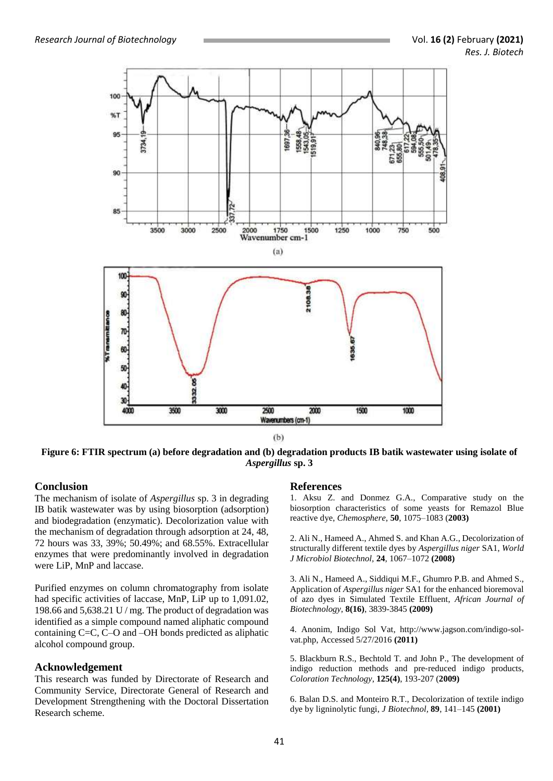

**Figure 6: FTIR spectrum (a) before degradation and (b) degradation products IB batik wastewater using isolate of** *Aspergillus* **sp. 3**

# **Conclusion**

The mechanism of isolate of *Aspergillus* sp. 3 in degrading IB batik wastewater was by using biosorption (adsorption) and biodegradation (enzymatic). Decolorization value with the mechanism of degradation through adsorption at 24, 48, 72 hours was 33, 39%; 50.49%; and 68.55%. Extracellular enzymes that were predominantly involved in degradation were LiP, MnP and laccase.

Purified enzymes on column chromatography from isolate had specific activities of laccase, MnP, LiP up to 1,091.02, 198.66 and 5,638.21 U / mg. The product of degradation was identified as a simple compound named aliphatic compound containing C=C, C–O and –OH bonds predicted as aliphatic alcohol compound group.

#### **Acknowledgement**

This research was funded by Directorate of Research and Community Service, Directorate General of Research and Development Strengthening with the Doctoral Dissertation Research scheme.

# **References**

1. Aksu Z. and Donmez G.A., Comparative study on the biosorption characteristics of some yeasts for Remazol Blue reactive dye, *Chemosphere*, **50**, 1075–1083 (**2003)**

2. Ali N., Hameed A., Ahmed S. and Khan A.G., Decolorization of structurally different textile dyes by *Aspergillus niger* SA1, *World J Microbiol Biotechnol,* **24**, 1067–1072 **(2008)**

3. Ali N., Hameed A., Siddiqui M.F., Ghumro P.B. and Ahmed S., Application of *Aspergillus niger* SA1 for the enhanced bioremoval of azo dyes in Simulated Textile Effluent, *African Journal of Biotechnology*, **8(16)**, 3839-3845 **(2009)**

4. Anonim, Indigo Sol Vat, http://www.jagson.com/indigo-solvat.php, Accessed 5/27/2016 **(2011)**

5. Blackburn R.S., Bechtold T. and John P., The development of indigo reduction methods and pre‐reduced indigo products, *Coloration Technology*, **125(4)**, 193-207 (**2009)**

6. Balan D.S. and Monteiro R.T., Decolorization of textile indigo dye by ligninolytic fungi, *J Biotechnol,* **89**, 141–145 **(2001)**